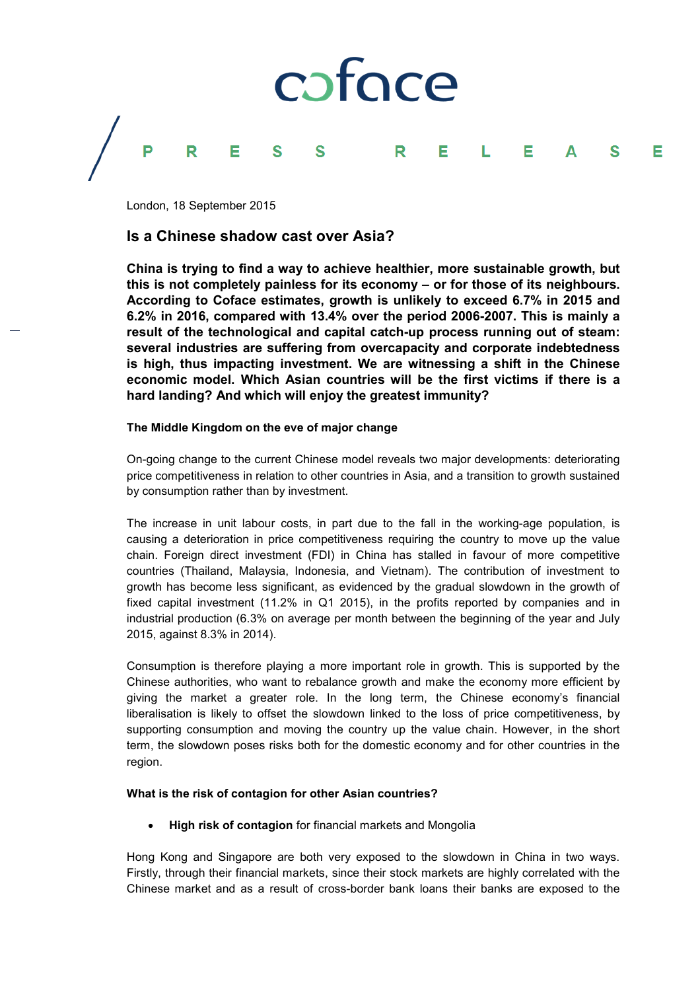

London, 18 September 2015

# **Is a Chinese shadow cast over Asia?**

**China is trying to find a way to achieve healthier, more sustainable growth, but this is not completely painless for its economy – or for those of its neighbours. According to Coface estimates, growth is unlikely to exceed 6.7% in 2015 and 6.2% in 2016, compared with 13.4% over the period 2006-2007. This is mainly a result of the technological and capital catch-up process running out of steam: several industries are suffering from overcapacity and corporate indebtedness is high, thus impacting investment. We are witnessing a shift in the Chinese economic model. Which Asian countries will be the first victims if there is a hard landing? And which will enjoy the greatest immunity?**

### **The Middle Kingdom on the eve of major change**

On-going change to the current Chinese model reveals two major developments: deteriorating price competitiveness in relation to other countries in Asia, and a transition to growth sustained by consumption rather than by investment.

The increase in unit labour costs, in part due to the fall in the working-age population, is causing a deterioration in price competitiveness requiring the country to move up the value chain. Foreign direct investment (FDI) in China has stalled in favour of more competitive countries (Thailand, Malaysia, Indonesia, and Vietnam). The contribution of investment to growth has become less significant, as evidenced by the gradual slowdown in the growth of fixed capital investment (11.2% in Q1 2015), in the profits reported by companies and in industrial production (6.3% on average per month between the beginning of the year and July 2015, against 8.3% in 2014).

Consumption is therefore playing a more important role in growth. This is supported by the Chinese authorities, who want to rebalance growth and make the economy more efficient by giving the market a greater role. In the long term, the Chinese economy's financial liberalisation is likely to offset the slowdown linked to the loss of price competitiveness, by supporting consumption and moving the country up the value chain. However, in the short term, the slowdown poses risks both for the domestic economy and for other countries in the region.

### **What is the risk of contagion for other Asian countries?**

**High risk of contagion** for financial markets and Mongolia

Hong Kong and Singapore are both very exposed to the slowdown in China in two ways. Firstly, through their financial markets, since their stock markets are highly correlated with the Chinese market and as a result of cross-border bank loans their banks are exposed to the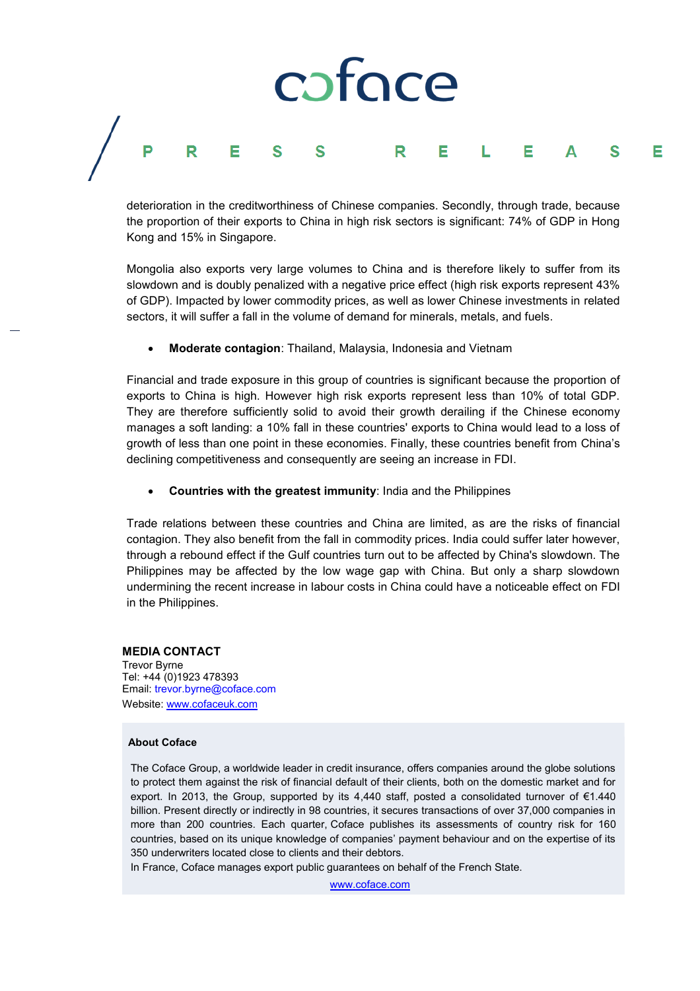## coface P R E  $\mathsf{R}$ Е S Е Е

deterioration in the creditworthiness of Chinese companies. Secondly, through trade, because the proportion of their exports to China in high risk sectors is significant: 74% of GDP in Hong Kong and 15% in Singapore.

Mongolia also exports very large volumes to China and is therefore likely to suffer from its slowdown and is doubly penalized with a negative price effect (high risk exports represent 43% of GDP). Impacted by lower commodity prices, as well as lower Chinese investments in related sectors, it will suffer a fall in the volume of demand for minerals, metals, and fuels.

**Moderate contagion**: Thailand, Malaysia, Indonesia and Vietnam

Financial and trade exposure in this group of countries is significant because the proportion of exports to China is high. However high risk exports represent less than 10% of total GDP. They are therefore sufficiently solid to avoid their growth derailing if the Chinese economy manages a soft landing: a 10% fall in these countries' exports to China would lead to a loss of growth of less than one point in these economies. Finally, these countries benefit from China's declining competitiveness and consequently are seeing an increase in FDI.

**Countries with the greatest immunity**: India and the Philippines

Trade relations between these countries and China are limited, as are the risks of financial contagion. They also benefit from the fall in commodity prices. India could suffer later however, through a rebound effect if the Gulf countries turn out to be affected by China's slowdown. The Philippines may be affected by the low wage gap with China. But only a sharp slowdown undermining the recent increase in labour costs in China could have a noticeable effect on FDI in the Philippines.

### **MEDIA CONTACT** Trevor Byrne Tel: +44 (0)1923 478393 Email: trevor.byrne@coface.com Website[: www.cofaceuk.com](http://www.cofaceuk.com/)

### **About Coface**

The Coface Group, a worldwide leader in credit insurance, offers companies around the globe solutions to protect them against the risk of financial default of their clients, both on the domestic market and for export. In 2013, the Group, supported by its 4,440 staff, posted a consolidated turnover of €1.440 billion. Present directly or indirectly in 98 countries, it secures transactions of over 37,000 companies in more than 200 countries. Each quarter, Coface publishes its assessments of country risk for 160 countries, based on its unique knowledge of companies' payment behaviour and on the expertise of its 350 underwriters located close to clients and their debtors.

In France, Coface manages export public guarantees on behalf of the French State.

[www.coface.com](http://www.coface.com/)